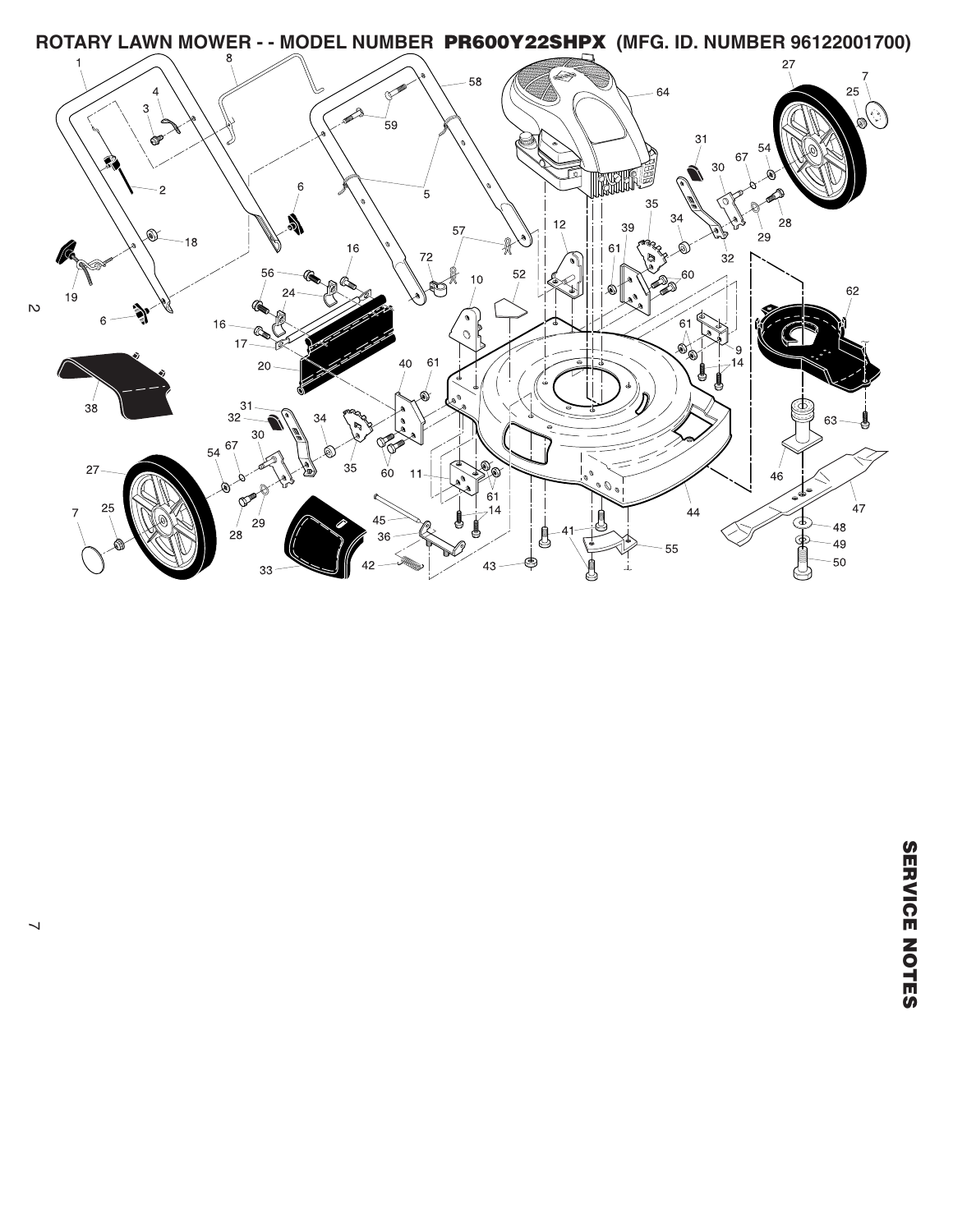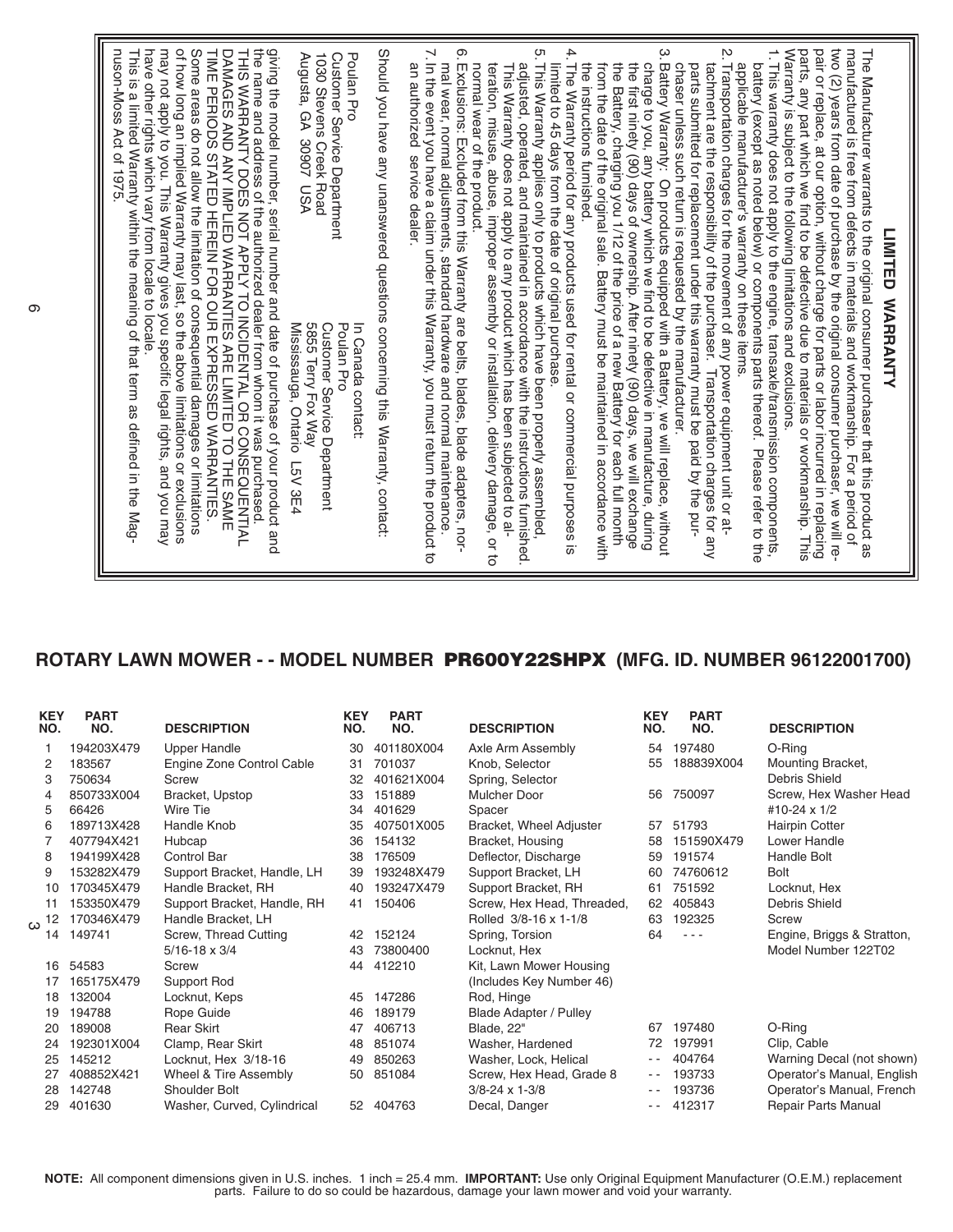## **ROTARY LAWN MOWER - - MODEL NUMBER PR600Y22SHPX (MFG. ID. NUMBER 96122001700)**

| <b>KEY</b><br>NO. | <b>PART</b><br>NO. | <b>DESCRIPTION</b>          | <b>KEY</b><br>NO. | <b>PART</b><br>NO. | <b>DESCRIPTION</b>         | <b>KEY</b><br>NO.                        | <b>PART</b><br>NO. | <b>DESCRIPTION</b>         |
|-------------------|--------------------|-----------------------------|-------------------|--------------------|----------------------------|------------------------------------------|--------------------|----------------------------|
|                   | 194203X479         | <b>Upper Handle</b>         | 30                | 401180X004         | Axle Arm Assembly          | 54                                       | 197480             | O-Ring                     |
| 2                 | 183567             | Engine Zone Control Cable   | 31                | 701037             | Knob, Selector             | 55                                       | 188839X004         | Mounting Bracket,          |
| 3                 | 750634             | Screw                       | 32                | 401621X004         | Spring, Selector           |                                          |                    | Debris Shield              |
| 4                 | 850733X004         | Bracket, Upstop             | 33                | 151889             | Mulcher Door               | 56                                       | 750097             | Screw, Hex Washer Head     |
| 5                 | 66426              | Wire Tie                    | 34                | 401629             | Spacer                     |                                          |                    | #10-24 x 1/2               |
| 6                 | 189713X428         | Handle Knob                 | 35                | 407501X005         | Bracket, Wheel Adjuster    | 57                                       | 51793              | <b>Hairpin Cotter</b>      |
|                   | 407794X421         | Hubcap                      | 36                | 154132             | Bracket, Housing           | 58                                       | 151590X479         | Lower Handle               |
| 8                 | 194199X428         | Control Bar                 | 38                | 176509             | Deflector, Discharge       | 59                                       | 191574             | Handle Bolt                |
| 9                 | 153282X479         | Support Bracket, Handle, LH | 39                | 193248X479         | Support Bracket, LH        | 60                                       | 74760612           | <b>Bolt</b>                |
| 10                | 170345X479         | Handle Bracket, RH          | 40                | 193247X479         | Support Bracket, RH        | 61                                       | 751592             | Locknut, Hex               |
| 11                | 153350X479         | Support Bracket, Handle, RH | 41                | 150406             | Screw, Hex Head, Threaded, | 62                                       | 405843             | Debris Shield              |
| 12<br>ω           | 170346X479         | Handle Bracket, LH          |                   |                    | Rolled 3/8-16 x 1-1/8      | 63                                       | 192325             | Screw                      |
| 14                | 149741             | Screw, Thread Cutting       | 42                | 152124             | Spring, Torsion            | 64                                       | $- - -$            | Engine, Briggs & Stratton, |
|                   |                    | $5/16 - 18 \times 3/4$      | 43                | 73800400           | Locknut, Hex               |                                          |                    | Model Number 122T02        |
| 16                | 54583              | Screw                       | 44                | 412210             | Kit, Lawn Mower Housing    |                                          |                    |                            |
| 17                | 165175X479         | Support Rod                 |                   |                    | (Includes Key Number 46)   |                                          |                    |                            |
| 18                | 132004             | Locknut, Keps               | 45                | 147286             | Rod, Hinge                 |                                          |                    |                            |
| 19                | 194788             | Rope Guide                  | 46                | 189179             | Blade Adapter / Pulley     |                                          |                    |                            |
| 20                | 189008             | <b>Rear Skirt</b>           | 47                | 406713             | Blade, 22"                 | 67                                       | 197480             | O-Ring                     |
| 24                | 192301X004         | Clamp, Rear Skirt           | 48                | 851074             | Washer, Hardened           | 72                                       | 197991             | Clip, Cable                |
| 25                | 145212             | Locknut, Hex 3/18-16        | 49                | 850263             | Washer, Lock, Helical      | - -                                      | 404764             | Warning Decal (not shown)  |
| 27                | 408852X421         | Wheel & Tire Assembly       | 50                | 851084             | Screw, Hex Head, Grade 8   | $\frac{1}{2} \left( \frac{1}{2} \right)$ | 193733             | Operator's Manual, English |
| 28                | 142748             | Shoulder Bolt               |                   |                    | $3/8 - 24 \times 1 - 3/8$  | $ -$                                     | 193736             | Operator's Manual, French  |
| 29                | 401630             | Washer, Curved, Cylindrical | 52                | 404763             | Decal. Danger              | - -                                      | 412317             | <b>Repair Parts Manual</b> |

**NOTE:** All component dimensions given in U.S. inches. 1 inch = 25.4 mm. **IMPORTANT:** Use only Original Equipment Manufacturer (O.E.M.) replacement parts. Failure to do so could be hazardous, damage your lawn mower and void your warranty.